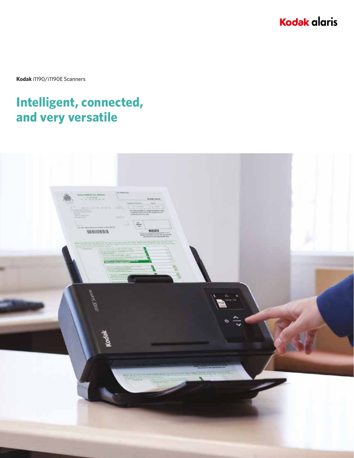**Kodak alaris** 

**Kodak** i1190/i1190E Scanners

## **Intelligent, connected, and very versatile**

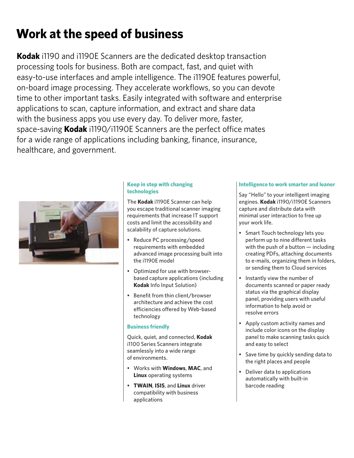# **Work at the speed of business**

**Kodak** i1190 and i1190E Scanners are the dedicated desktop transaction processing tools for business. Both are compact, fast, and quiet with easy-to-use interfaces and ample intelligence. The i1190E features powerful, on-board image processing. They accelerate workflows, so you can devote time to other important tasks. Easily integrated with software and enterprise applications to scan, capture information, and extract and share data with the business apps you use every day. To deliver more, faster, space-saving **Kodak** i1190/i1190E Scanners are the perfect office mates for a wide range of applications including banking, finance, insurance, healthcare, and government.



### **Keep in step with changing technologies**

The **Kodak** i1190E Scanner can help you escape traditional scanner imaging requirements that increase IT support costs and limit the accessibility and scalability of capture solutions.

- Reduce PC processing/speed requirements with embedded advanced image processing built into the i1190E model
- Optimized for use with browserbased capture applications (including **Kodak** Info Input Solution)
- Benefit from thin client/browser architecture and achieve the cost efficiencies offered by Web-based technology

#### **Business friendly**

Quick, quiet, and connected, **Kodak** i1100 Series Scanners integrate seamlessly into a wide range of environments.

- Works with **Windows**, **MAC**, and **Linux** operating systems
- **TWAIN**, **ISIS**, and **Linux** driver compatibility with business applications

#### **Intelligence to work smarter and leaner**

Say "Hello" to your intelligent imaging engines. **Kodak** i1190/i1190E Scanners capture and distribute data with minimal user interaction to free up your work life.

- Smart Touch technology lets you perform up to nine different tasks with the push of a button — including creating PDFs, attaching documents to e-mails, organizing them in folders, or sending them to Cloud services
- Instantly view the number of documents scanned or paper ready status via the graphical display panel, providing users with useful information to help avoid or resolve errors
- Apply custom activity names and include color icons on the display panel to make scanning tasks quick and easy to select
- Save time by quickly sending data to the right places and people
- Deliver data to applications automatically with built-in barcode reading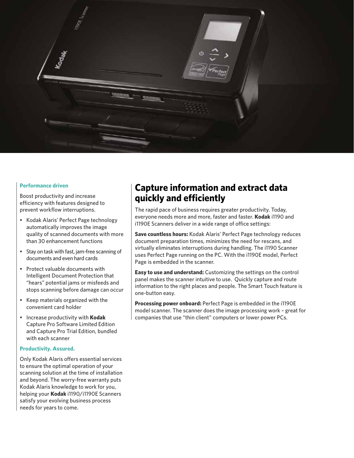

#### **Performance driven**

Boost productivity and increase efficiency with features designed to prevent workflow interruptions.

- Kodak Alaris' Perfect Page technology automatically improves the image quality of scanned documents with more than 30 enhancement functions
- Stay on task with fast, jam-free scanning of documents and even hard cards
- Protect valuable documents with Intelligent Document Protection that "hears" potential jams or misfeeds and stops scanning before damage can occur
- Keep materials organized with the convenient card holder
- Increase productivity with **Kodak** Capture Pro Software Limited Edition and Capture Pro Trial Edition, bundled with each scanner

#### **Productivity. Assured.**

Only Kodak Alaris offers essential services to ensure the optimal operation of your scanning solution at the time of installation and beyond. The worry-free warranty puts Kodak Alaris knowledge to work for you, helping your **Kodak** i1190/i1190E Scanners satisfy your evolving business process needs for years to come.

### **Capture information and extract data quickly and efficiently**

The rapid pace of business requires greater productivity. Today, everyone needs more and more, faster and faster. **Kodak** i1190 and i1190E Scanners deliver in a wide range of office settings:

**Save countless hours:** Kodak Alaris' Perfect Page technology reduces document preparation times, minimizes the need for rescans, and virtually eliminates interruptions during handling. The i1190 Scanner uses Perfect Page running on the PC. With the i1190E model, Perfect Page is embedded in the scanner.

**Easy to use and understand:** Customizing the settings on the control panel makes the scanner intuitive to use. Quickly capture and route information to the right places and people. The Smart Touch feature is one-button easy.

**Processing power onboard:** Perfect Page is embedded in the i1190E model scanner. The scanner does the image processing work – great for companies that use "thin client" computers or lower power PCs.